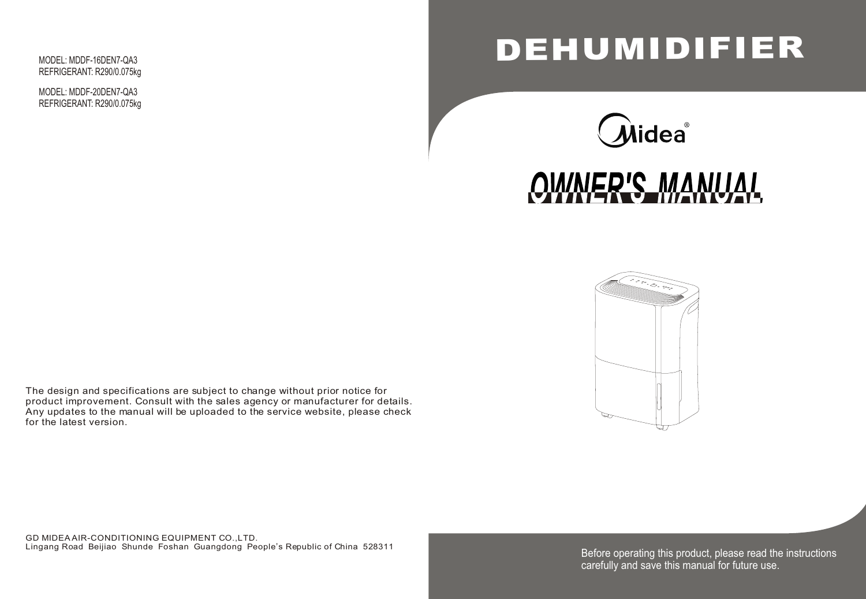Before operating this product, please read the instructions carefully and save this manual for future use.





# **DEHUMIDIFIER**





GD MIDEA AIR-CONDITIONING EQUIPMENT CO.,LTD. Lingang Road Beijiao Shunde Foshan Guangdong People's Republic of China 528311

The design and specifications are subject to change without prior notice for product improvement. Consult with the sales agency or manufacturer for details. Any updates to the manual will be uploaded to the service website, please check for the latest version.

MODEL: MDDF-16DEN7-QA3 REFRIGERANT: R290/0.075kg

MODEL: MDDF-20DEN7-QA3 REFRIGERANT: R290/0.075kg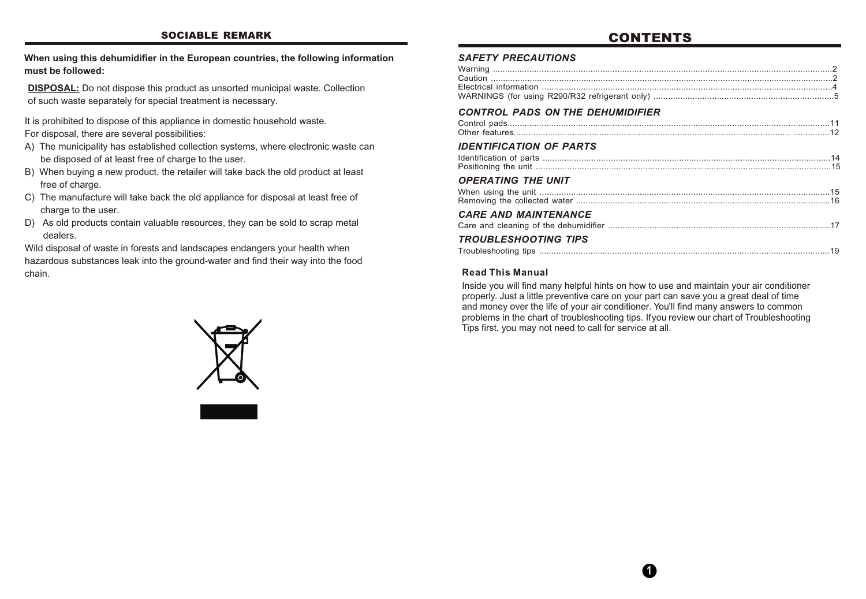#### *SAFETY PRECAUTIONS*

#### *CONTROL PADS ON THE DEHUMIDIFIER*

| <b>CONTROL PADS ON THE DEHUMIDIFIER</b> |  |
|-----------------------------------------|--|
| <b>IDENTIFICATION OF PARTS</b>          |  |
| <b>OPERATING THE UNIT</b>               |  |
| <b>CARE AND MAINTENANCE</b>             |  |
| <b>TROUBLESHOOTING TIPS</b>             |  |

#### *OPERATING THE UNIT*

#### *IDENTIFICATION OF PARTS*

**DISPOSAL:** Do not dispose this product as unsorted municipal waste. Collection of such waste separately for special treatment is necessary.

It is prohibited to dispose of this appliance in domestic household waste. For disposal, there are several possibilities:

- A) The municipality has established collection systems, where electronic waste can be disposed of at least free of charge to the user.
- B) When buying a new product, the retailer will take back the old product at least free of charge.
- C) The manufacture will take back the old appliance for disposal at least free of charge to the user.
- D) As old products contain valuable resources, they can be sold to scrap metal dealers.

Wild disposal of waste in forests and landscapes endangers your health when hazardous substances leak into the ground-water and find their way into the food chain.



**When using this dehumidifier in the European countries, the following information must be followed:**

Inside you will find many helpful hints on how to use and maintain your air conditioner properly. Just a little preventive care on your part can save you a great deal of time and money over the life of your air conditioner. You'll find many answers to common problems in the chart of troubleshooting tips. Ifyou review our chart of Troubleshooting Tips first, you may not need to call for service at all.

#### **Read This Manual**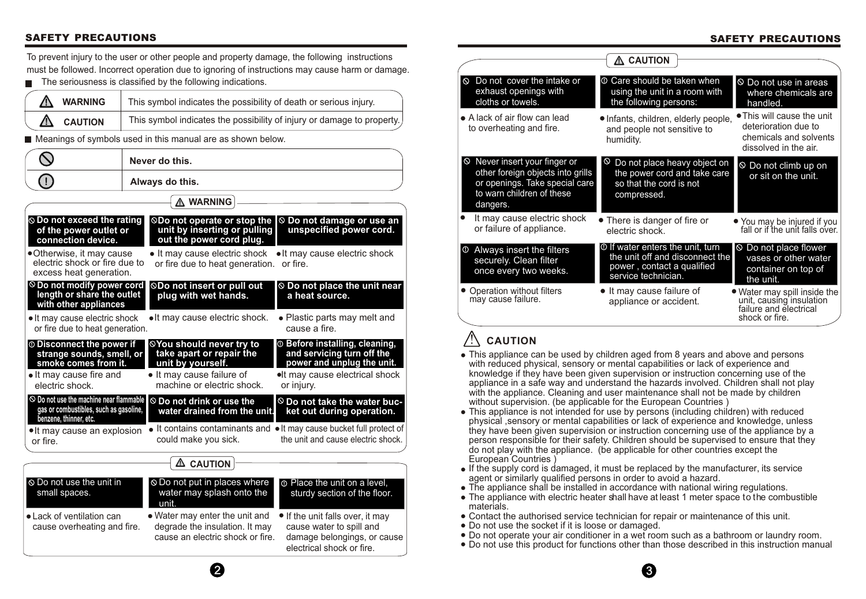



## **SAFETY PRECAUTIONS**

To prevent injury to the user or other people and property damage, the following instructions must be followed. Incorrect operation due to ignoring of instructions may cause harm or damage.

 $\blacksquare$  The seriousness is classified by the following indications.

|                                                                                                                                      | Never do this.  |                                                                                                                                             |                                                                                                                                                        |
|--------------------------------------------------------------------------------------------------------------------------------------|-----------------|---------------------------------------------------------------------------------------------------------------------------------------------|--------------------------------------------------------------------------------------------------------------------------------------------------------|
|                                                                                                                                      | Always do this. |                                                                                                                                             |                                                                                                                                                        |
| <b>A WARNING</b>                                                                                                                     |                 |                                                                                                                                             |                                                                                                                                                        |
| $\odot$ Do not exceed the rating<br>of the power outlet or<br>connection device.                                                     |                 | <b>  ○Do not operate or stop the</b><br>unit by inserting or pulling<br>out the power cord plug.                                            | <b>◎ Do not damage or use an</b><br>unspecified power cord.                                                                                            |
| •Otherwise, it may cause<br>electric shock or fire due to<br>excess heat generation.                                                 |                 | • It may cause electric shock<br>or fire due to heat generation.                                                                            | • It may cause electric shock<br>or fire.                                                                                                              |
| $\circledcirc$ Do not modify power cord<br>length or share the outlet<br>with other appliances                                       |                 | <b>©Do not insert or pull out</b><br>plug with wet hands.                                                                                   | $\odot$ Do not place the unit near<br>a heat source.                                                                                                   |
| • It may cause electric shock<br>or fire due to heat generation.                                                                     |                 | • It may cause electric shock.                                                                                                              | • Plastic parts may melt and<br>cause a fire.                                                                                                          |
| <b>10 Disconnect the power if</b><br>strange sounds, smell, or<br>smoke comes from it.<br>• It may cause fire and<br>electric shock. |                 | <b>©You should never try to</b><br>take apart or repair the<br>unit by yourself.<br>• It may cause failure of<br>machine or electric shock. | <sup>1</sup> Before installing, cleaning,<br>and servicing turn off the<br>power and unplug the unit.<br>. It may cause electrical shock<br>or injury. |
| $\odot$ Do not use the machine near flammable<br>gas or combustibles, such as gasoline,<br>benzene, thinner, etc.                    |                 | $\circledcirc$ Do not drink or use the<br>water drained from the unit.                                                                      | $\circledcirc$ Do not take the water buc-<br>ket out during operation.                                                                                 |
| • It may cause an explosion<br>or fire.                                                                                              |                 | could make you sick.                                                                                                                        | It contains contaminants and $\bullet$ It may cause bucket full protect of<br>the unit and cause electric shock.                                       |
|                                                                                                                                      |                 | <b>CAUTION</b><br><u>Δ</u>                                                                                                                  |                                                                                                                                                        |
| $\odot$ Do not use the unit in<br>small spaces.                                                                                      |                 | ⊗ Do not put in places where<br>water may splash onto the<br>unit.                                                                          | <b>O</b> Place the unit on a level,<br>sturdy section of the floor.                                                                                    |
| • Lack of ventilation can<br>cause overheating and fire.                                                                             |                 | • Water may enter the unit and<br>degrade the insulation. It may<br>cause an electric shock or fire.                                        | • If the unit falls over, it may<br>cause water to spill and<br>damage belongings, or cause<br>electrical shock or fire.                               |

| Λ        | <b>WARNING</b> | This symbol indicates the possibility of death or serious injury.      |
|----------|----------------|------------------------------------------------------------------------|
| $\Delta$ | <b>CAUTION</b> | This symbol indicates the possibility of injury or damage to property. |

■ Meanings of symbols used in this manual are as shown below.

#### **SAFETY PRECAUTIONS**

- This appliance can be used by children aged from 8 years and above and persons with reduced physical, sensory or mental capabilities or lack of experience and knowledge if they have been given supervision or instruction concerning use of the appliance in a safe way and understand the hazards involved. Children shall not play with the appliance. Cleaning and user maintenance shall not be made by children without supervision. (be applicable for the European Countries )
- This appliance is not intended for use by persons (including children) with reduced physical ,sensory or mental capabilities or lack of experience and knowledge, unless they have been given supervision or instruction concerning use of the appliance by a person responsible for their safety. Children should be supervised to ensure that they do not play with the appliance. (be applicable for other countries except the European Countries )
- If the supply cord is damaged, it must be replaced by the manufacturer, its service agent or similarly qualified persons in order to avoid a hazard.
- The appliance shall be installed in accordance with national wiring regulations.
- The appliance with electric heater shall have at least 1 meter space to the combustible materials.
- Contact the authorised service technician for repair or maintenance of this unit.
- Do not use the socket if it is loose or damaged.
- Do not operate your air conditioner in a wet room such as a bathroom or laundry room.
- Do not use this product for functions other than those described in this instruction manual

|                                                                                                                                                            | <b>CAUTION</b>                                                                                                                 |                                                                                                       |
|------------------------------------------------------------------------------------------------------------------------------------------------------------|--------------------------------------------------------------------------------------------------------------------------------|-------------------------------------------------------------------------------------------------------|
| Do not cover the intake or<br>$\infty$<br>exhaust openings with<br>cloths or towels.                                                                       | <b>O</b> Care should be taken when<br>using the unit in a room with<br>the following persons:                                  | $\circ$ Do not use in areas<br>where chemicals are<br>handled.                                        |
| • A lack of air flow can lead<br>to overheating and fire.                                                                                                  | • Infants, children, elderly people,<br>and people not sensitive to<br>humidity.                                               | • This will cause the unit<br>deterioration due to<br>chemicals and solvents<br>dissolved in the air. |
| $\circledcirc$ Never insert your finger or<br>other foreign objects into grills<br>or openings. Take special care<br>to warn children of these<br>dangers. | $\circ$<br>Do not place heavy object on<br>the power cord and take care<br>so that the cord is not<br>compressed.              | $\circ$ Do not climb up on<br>or sit on the unit.                                                     |
| It may cause electric shock<br>or failure of appliance.                                                                                                    | • There is danger of fire or<br>electric shock.                                                                                | • You may be injured if you<br>fall or if the unit falls over.                                        |
| Always insert the filters<br><u>(⊕</u><br>securely. Clean filter<br>once every two weeks.                                                                  | $\circ$ If water enters the unit, turn<br>the unit off and disconnect the<br>power, contact a qualified<br>service technician. | ◎ Do not place flower<br>vases or other water<br>container on top of<br>the unit.                     |
| Operation without filters<br>may cause failure.                                                                                                            | • It may cause failure of<br>appliance or accident.                                                                            | • Water may spill inside the unit, causing insulation<br>failure and electrical<br>shock or fire.     |

## ! **CAUTION**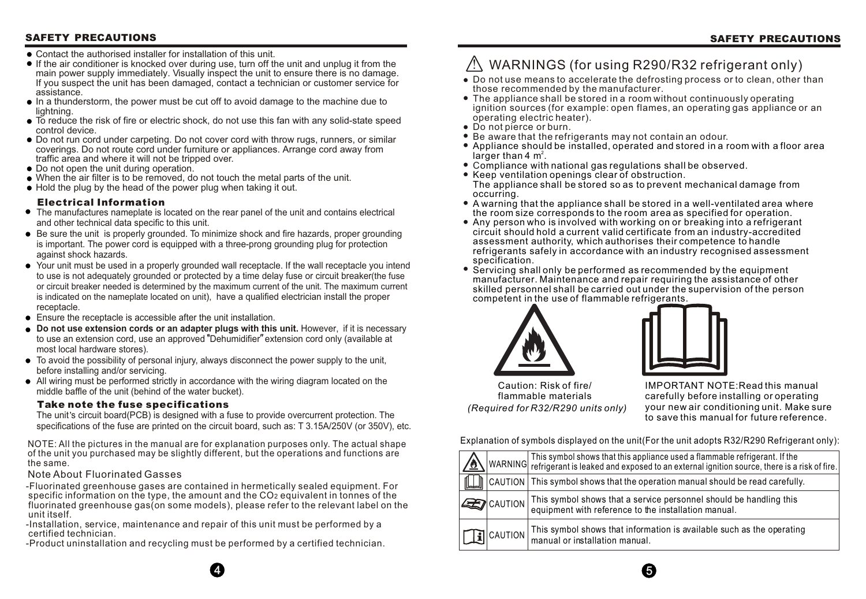#### **SAFETY PRECAUTIONS SAFETY PRECAUTIONS**

- Contact the authorised installer for installation of this unit.
- If the air conditioner is knocked over during use, turn off the unit and unplug it from the main power supply immediately. Visually inspect the unit to ensure there is no damage. If you suspect the unit has been damaged, contact a technician or customer service for assistance.
- In a thunderstorm, the power must be cut off to avoid damage to the machine due to lightning.
- To reduce the risk of fire or electric shock, do not use this fan with any solid-state speed control device.
- Do not run cord under carpeting. Do not cover cord with throw rugs, runners, or similar coverings. Do not route cord under furniture or appliances. Arrange cord away from traffic area and where it will not be tripped over.
- Do not open the unit during operation.
- When the air filter is to be removed, do not touch the metal parts of the unit.
- Hold the plug by the head of the power plug when taking it out.

- The manufactures nameplate is located on the rear panel of the unit and contains electrical and other technical data specific to this unit.
- Be sure the unit is properly grounded. To minimize shock and fire hazards, proper grounding is important. The power cord is equipped with a three-prong grounding plug for protection against shock hazards.
- Your unit must be used in a properly grounded wall receptacle. If the wall receptacle you intend to use is not adequately grounded or protected by a time delay fuse or circuit breaker(the fuse or circuit breaker needed is determined by the maximum current of the unit. The maximum current is indicated on the nameplate located on unit), have a qualified electrician install the proper receptacle.
- Ensure the receptacle is accessible after the unit installation.
- **Do not use extension cords or an adapter plugs with this unit.** However, if it is necessary to use an extension cord, use an approved "Dehumidifier" extension cord only (available at most local hardware stores).
- To avoid the possibility of personal injury, always disconnect the power supply to the unit, before installing and/or servicing.
- All wiring must be performed strictly in accordance with the wiring diagram located on the middle baffle of the unit (behind of the water bucket).

#### **Electrical Information**

The unit's circuit board(PCB) is designed with a fuse to provide overcurrent protection. The specifications of the fuse are printed on the circuit board, such as: T 3.15A/250V (or 350V), etc.

- Do not use means to accelerate the defrosting process or to clean, other than those recommended by the manufacturer.
- The appliance shall be stored in a room without continuously operating ignition sources (for example: open flames, an operating gas appliance or an operating electric heater).
- Do not pierce or burn.
- Be aware that the refrigerants may not contain an odour.
- Appliance should be installed, operated and stored in a room with a floor area larger than 4  $m^2$ .
- C ompliance with national gas regulations shall be observed.
- Keep ventilation openings clear of obstruction. The appliance shall be stored so as to prevent mechanical damage from occurring.
- A warning that the appliance shall be stored in a well-ventilated area where the room size corresponds to the room area as specified for operation.
- Any person who is involved with working on or breaking into a refrigerant circuit should hold a current valid certificate from an industry-accredited assessment authority, which authorises their competence to handle refrigerants safely in accordance with an industry recognised assessment specification.
- Servicing shall only be performed as recommended by the equipment manufacturer. Maintenance and repair requiring the assistance of other skilled personnel shall be carried out under the supervision of the person competent in the use of flammable refrigerants.





Caution: Risk of fire/ flammable materials *(Required for R32/R290 units only)*

IMPORTANT NOTE:Read this manual carefully before installing or operating your new air conditioning unit. Make sure to save this manual for future reference.

ance used a flammable refrigerant. If the to an external ignition source, there is a risk of fire.

ration manual should be read carefully.

ce personnel should be handling this e installation manual.

ation is available such as the operating

Explanation of symbols displayed on the unit(For the unit adopts R32/R290 Refrigerant only):

| 金 |                     | WARNING This symbol shows that this applia<br>WARNING refrigerant is leaked and exposed |
|---|---------------------|-----------------------------------------------------------------------------------------|
|   |                     | CAUTION   This symbol shows that the oper                                               |
|   | <b>EX CAUTION</b>   | This symbol shows that a servic<br>equipment with reference to the                      |
|   | $\prod_{i}$ CAUTION | This symbol shows that informa<br>manual or installation manual.                        |

 $\overline{4}$  5



#### **Take note the fuse specifications**

- Fluorinated greenhouse gases are contained in hermetically sealed equipment. For specific information on the type, the amount and the CO<sub>2</sub> equivalent in tonnes of the fluorinated greenhouse gas(on some models), please refer to the relevant label on the unit itself.

-Installation, service, maintenance and repair of this unit must be performed by a certified technician.

-Product uninstallation and recycling must be performed by a certified technician.

#### Note About Fluorinated Gasses

## $\bigwedge$  WARNINGS (for using R290/R32 refrigerant only)

NOTE: All the pictures in the manual are for explanation purposes only. The actual shape of the unit you purchased may be slightly different, but the operations and functions are the same.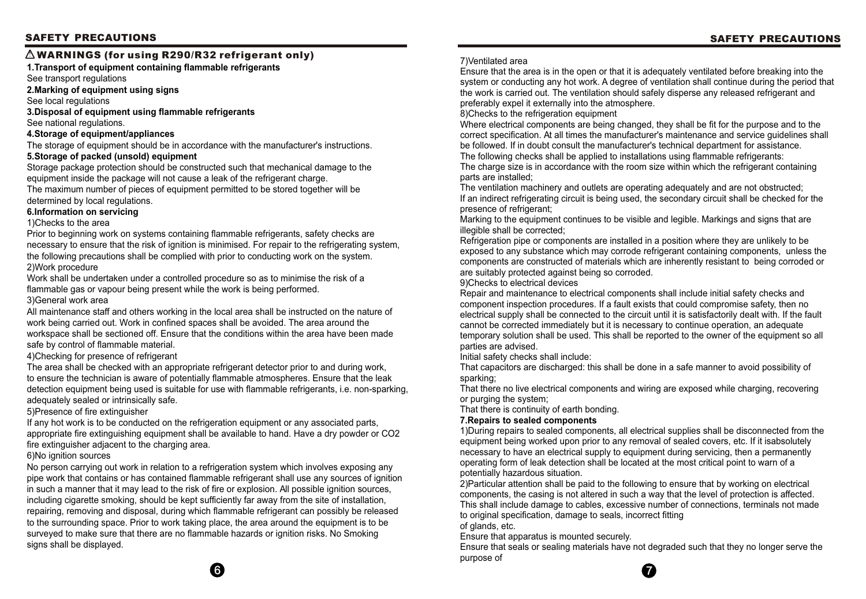





Ensure that the area is in the open or that it is adequately ventilated before breaking into the system or conducting any hot work. A degree of ventilation shall continue during the period that the work is carried out. The ventilation should safely disperse any released refrigerant and preferably expel it externally into the atmosphere. 8)Checks to the refrigeration equipment

The ventilation machinery and outlets are operating adequately and are not obstructed; If an indirect refrigerating circuit is being used, the secondary circuit shall be checked for the presence of refrigerant:

Where electrical components are being changed, they shall be fit for the purpose and to the correct specification. At all times the manufacturer's maintenance and service guidelines shall be followed. If in doubt consult the manufacturer's technical department for assistance. The following checks shall be applied to installations using flammable refrigerants: The charge size is in accordance with the room size within which the refrigerant containing parts are installed;

Marking to the equipment continues to be visible and legible. Markings and signs that are illegible shall be corrected;

Refrigeration pipe or components are installed in a position where they are unlikely to be exposed to any substance which may corrode refrigerant containing components, unless the components are constructed of materials which are inherently resistant to being corroded or are suitably protected against being so corroded. 9)Checks to electrical devices

Repair and maintenance to electrical components shall include initial safety checks and component inspection procedures. If a fault exists that could compromise safety, then no electrical supply shall be connected to the circuit until it is satisfactorily dealt with. If the fault cannot be corrected immediately but it is necessary to continue operation, an adequate temporary solution shall be used. This shall be reported to the owner of the equipment so all parties are advised.

Initial safety checks shall include:

That capacitors are discharged: this shall be done in a safe manner to avoid possibility of sparking;

That there no live electrical components and wiring are exposed while charging, recovering or purging the system;

That there is continuity of earth bonding.

#### **7.Repairs to sealed components**

1)During repairs to sealed components, all electrical supplies shall be disconnected from the equipment being worked upon prior to any removal of sealed covers, etc. If it isabsolutely necessary to have an electrical supply to equipment during servicing, then a permanently operating form of leak detection shall be located at the most critical point to warn of a potentially hazardous situation.

2)Particular attention shall be paid to the following to ensure that by working on electrical components, the casing is not altered in such a way that the level of protection is affected. This shall include damage to cables, excessive number of connections, terminals not made to original specification, damage to seals, incorrect fitting of glands, etc.

Ensure that apparatus is mounted securely. Ensure that seals or sealing materials have not degraded such that they no longer serve the purpose of

**1.Transport of equipment containing flammable refrigerants**

See transport regulations

#### **2.Marking of equipment using signs**

See local regulations

**3.Disposal of equipment using flammable refrigerants**

See national regulations.

#### **4.Storage of equipment/appliances**

The storage of equipment should be in accordance with the manufacturer's instructions.

#### **5.Storage of packed (unsold) equipment**

Storage package protection should be constructed such that mechanical damage to the equipment inside the package will not cause a leak of the refrigerant charge. The maximum number of pieces of equipment permitted to be stored together will be

#### determined by local regulations. **6.Information on servicing**

#### 1)Checks to the area

Prior to beginning work on systems containing flammable refrigerants, safety checks are necessary to ensure that the risk of ignition is minimised. For repair to the refrigerating system, the following precautions shall be complied with prior to conducting work on the system. 2)Work procedure

Work shall be undertaken under a controlled procedure so as to minimise the risk of a flammable gas or vapour being present while the work is being performed. 3)General work area

All maintenance staff and others working in the local area shall be instructed on the nature of work being carried out. Work in confined spaces shall be avoided. The area around the workspace shall be sectioned off. Ensure that the conditions within the area have been made safe by control of flammable material.

#### 4)Checking for presence of refrigerant

The area shall be checked with an appropriate refrigerant detector prior to and during work, to ensure the technician is aware of potentially flammable atmospheres. Ensure that the leak detection equipment being used is suitable for use with flammable refrigerants, i.e. non-sparking, adequately sealed or intrinsically safe.

#### 5)Presence of fire extinguisher

If any hot work is to be conducted on the refrigeration equipment or any associated parts, appropriate fire extinguishing equipment shall be available to hand. Have a dry powder or CO2 fire extinguisher adjacent to the charging area.

#### 6)No ignition sources

No person carrying out work in relation to a refrigeration system which involves exposing any pipe work that contains or has contained flammable refrigerant shall use any sources of ignition in such a manner that it may lead to the risk of fire or explosion. All possible ignition sources, including cigarette smoking, should be kept sufficiently far away from the site of installation, repairing, removing and disposal, during which flammable refrigerant can possibly be released to the surrounding space. Prior to work taking place, the area around the equipment is to be surveyed to make sure that there are no flammable hazards or ignition risks. No Smoking signs shall be displayed.

#### ! **WARNINGS (for using R290/R32 refrigerant only)**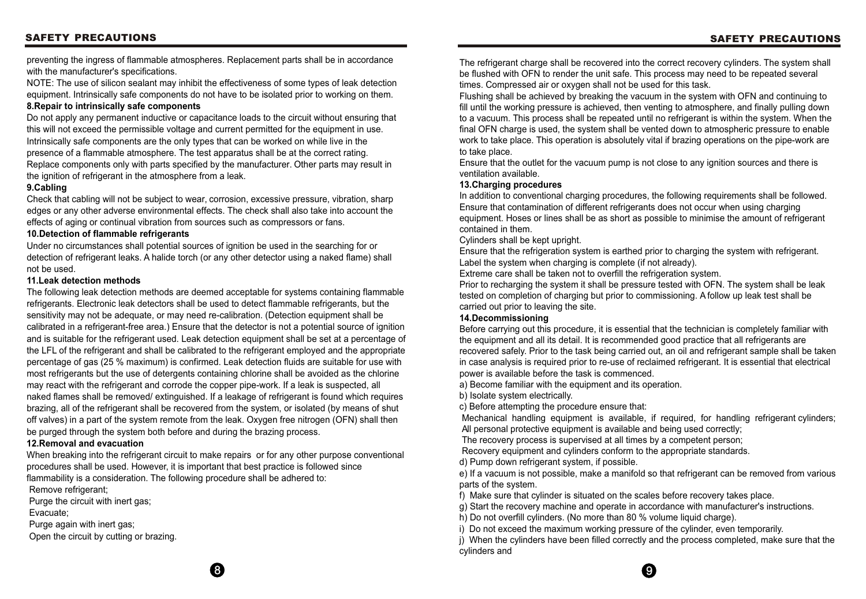#### **SAFETY PRECAUTIONS SAFETY PRECAUTIONS**

The refrigerant charge shall be recovered into the correct recovery cylinders. The system shall be flushed with OFN to render the unit safe. This process may need to be repeated several times. Compressed air or oxygen shall not be used for this task. Flushing shall be achieved by breaking the vacuum in the system with OFN and continuing to fill until the working pressure is achieved, then venting to atmosphere, and finally pulling down to a vacuum. This process shall be repeated until no refrigerant is within the system. When the final OFN charge is used, the system shall be vented down to atmospheric pressure to enable work to take place. This operation is absolutely vital if brazing operations on the pipe-work are to take place.

Ensure that the outlet for the vacuum pump is not close to any ignition sources and there is ventilation available.

#### **13.Charging procedures**

In addition to conventional charging procedures, the following requirements shall be followed. Ensure that contamination of different refrigerants does not occur when using charging equipment. Hoses or lines shall be as short as possible to minimise the amount of refrigerant contained in them.

Cylinders shall be kept upright.

Ensure that the refrigeration system is earthed prior to charging the system with refrigerant. Label the system when charging is complete (if not already). Extreme care shall be taken not to overfill the refrigeration system. Prior to recharging the system it shall be pressure tested with OFN. The system shall be leak tested on completion of charging but prior to commissioning. A follow up leak test shall be carried out prior to leaving the site.

#### **14.Decommissioning**

Before carrying out this procedure, it is essential that the technician is completely familiar with the equipment and all its detail. It is recommended good practice that all refrigerants are recovered safely. Prior to the task being carried out, an oil and refrigerant sample shall be taken in case analysis is required prior to re-use of reclaimed refrigerant. It is essential that electrical power is available before the task is commenced. a) Become familiar with the equipment and its operation.

b) Isolate system electrically.

c) Before attempting the procedure ensure that: Mechanical handling equipment is available, if required, for handling refrigerant cylinders; All personal protective equipment is available and being used correctly; The recovery process is supervised at all times by a competent person; Recovery equipment and cylinders conform to the appropriate standards.

d) Pump down refrigerant system, if possible.

e) If a vacuum is not possible, make a manifold so that refrigerant can be removed from various parts of the system.

f) Make sure that cylinder is situated on the scales before recovery takes place.

g) Start the recovery machine and operate in accordance with manufacturer's instructions.

h) Do not overfill cylinders. (No more than 80 % volume liquid charge).

i) Do not exceed the maximum working pressure of the cylinder, even temporarily.

j) When the cylinders have been filled correctly and the process completed, make sure that the cylinders and

preventing the ingress of flammable atmospheres. Replacement parts shall be in accordance with the manufacturer's specifications.

NOTE: The use of silicon sealant may inhibit the effectiveness of some types of leak detection equipment. Intrinsically safe components do not have to be isolated prior to working on them. **8.Repair to intrinsically safe components**

#### Do not apply any permanent inductive or capacitance loads to the circuit without ensuring that this will not exceed the permissible voltage and current permitted for the equipment in use. Intrinsically safe components are the only types that can be worked on while live in the presence of a flammable atmosphere. The test apparatus shall be at the correct rating. Replace components only with parts specified by the manufacturer. Other parts may result in the ignition of refrigerant in the atmosphere from a leak.

#### **9.Cabling**

Check that cabling will not be subject to wear, corrosion, excessive pressure, vibration, sharp edges or any other adverse environmental effects. The check shall also take into account the effects of aging or continual vibration from sources such as compressors or fans.

#### **10.Detection of flammable refrigerants**

Under no circumstances shall potential sources of ignition be used in the searching for or detection of refrigerant leaks. A halide torch (or any other detector using a naked flame) shall not be used.

#### **11.Leak detection methods**

The following leak detection methods are deemed acceptable for systems containing flammable refrigerants. Electronic leak detectors shall be used to detect flammable refrigerants, but the sensitivity may not be adequate, or may need re-calibration. (Detection equipment shall be calibrated in a refrigerant-free area.) Ensure that the detector is not a potential source of ignition and is suitable for the refrigerant used. Leak detection equipment shall be set at a percentage of the LFL of the refrigerant and shall be calibrated to the refrigerant employed and the appropriate percentage of gas (25 % maximum) is confirmed. Leak detection fluids are suitable for use with most refrigerants but the use of detergents containing chlorine shall be avoided as the chlorine may react with the refrigerant and corrode the copper pipe-work. If a leak is suspected, all naked flames shall be removed/ extinguished. If a leakage of refrigerant is found which requires brazing, all of the refrigerant shall be recovered from the system, or isolated (by means of shut off valves) in a part of the system remote from the leak. Oxygen free nitrogen (OFN) shall then be purged through the system both before and during the brazing process.

#### **12.Removal and evacuation**

When breaking into the refrigerant circuit to make repairs or for any other purpose conventional procedures shall be used. However, it is important that best practice is followed since flammability is a consideration. The following procedure shall be adhered to:

Remove refrigerant;

Purge the circuit with inert gas;

Evacuate;

Purge again with inert gas;

Open the circuit by cutting or brazing.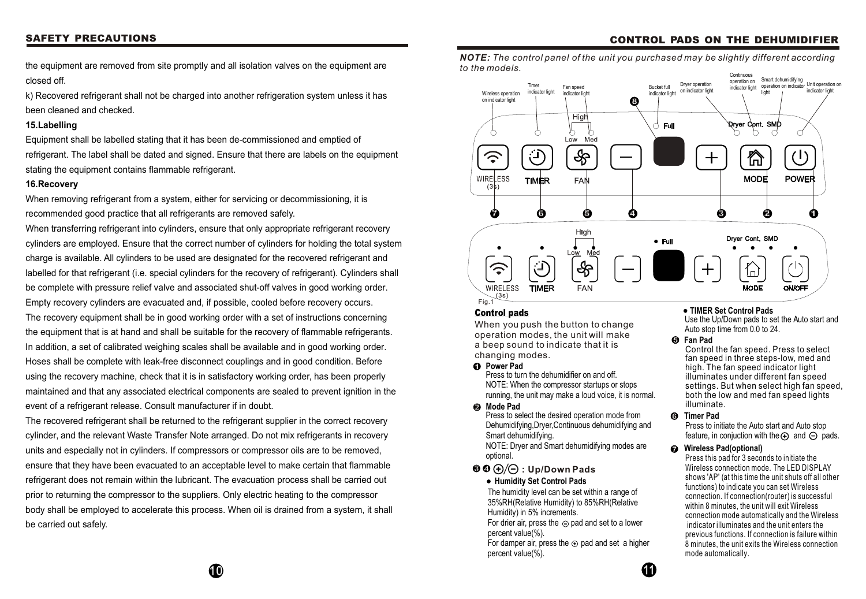#### **Control pads**

When you push the button to change operation modes, the unit will make a beep sound to indicate that it is changing modes.

*NOTE: The control panel of the unit you purchased may be slightly different according to the models.* 

#### **Humidity Set Control Pads**

For drier air, press the  $\ominus$  pad and set to a lower percent value(%).

#### **TIMER Set Control Pads**

For damper air, press the  $\odot$  pad and set a higher percent value(%).

Press to initiate the Auto start and Auto stop feature, in conjuction with the  $\Theta$  and  $\Theta$  pads.

Use the Up/Down pads to set the Auto start and Auto stop time from 0.0 to 24.

#### **3 : Up/Down Pads 4**

The humidity level can be set within a range of 35%RH(Relative Humidity) to 85%RH(Relative Humidity) in 5% increments.



### **CONTROL PADS ON THE DEHUMIDIFIER**

#### **2 Mode Pad**

#### **1 Power Pad**

#### **Timer Pad 6**

#### **5 Fan Pad**

Press to select the desired operation mode from Dehumidifying,Dryer,Continuous dehumidifying and Smart dehumidifying.

NOTE: Dryer and Smart dehumidifying modes are optional.

#### **7 Wireless Pad(optional)**

Press to turn the dehumidifier on and off. NOTE: When the compressor startups or stops running, the unit may make a loud voice, it is normal.

> Press this pad for 3 seconds to initiate the Wireless connection mode. The LED DISPLAY shows 'AP' (at this time the unit shuts off all other functions) to indicate you can set Wireless connection. If connection(router) is successful within 8 minutes, the unit will exit Wireless connection mode automatically and the Wireless indicator illuminates and the unit enters the previous functions. If connection is failure within 8 minutes, the unit exits the Wireless connection mode automatically.

Control the fan speed. Press to select fan speed in three steps-low, med and high. The fan speed indicator light illuminates under different fan speed settings. But when select high fan speed, both the low and med fan speed lights illuminate.

the equipment are removed from site promptly and all isolation valves on the equipment are closed off.

k) Recovered refrigerant shall not be charged into another refrigeration system unless it has been cleaned and checked.

#### **15.Labelling**

Equipment shall be labelled stating that it has been de-commissioned and emptied of refrigerant. The label shall be dated and signed. Ensure that there are labels on the equipment stating the equipment contains flammable refrigerant.

#### **16.Recovery**

When removing refrigerant from a system, either for servicing or decommissioning, it is recommended good practice that all refrigerants are removed safely.

When transferring refrigerant into cylinders, ensure that only appropriate refrigerant recovery cylinders are employed. Ensure that the correct number of cylinders for holding the total system charge is available. All cylinders to be used are designated for the recovered refrigerant and labelled for that refrigerant (i.e. special cylinders for the recovery of refrigerant). Cylinders shall be complete with pressure relief valve and associated shut-off valves in good working order. Empty recovery cylinders are evacuated and, if possible, cooled before recovery occurs.

The recovery equipment shall be in good working order with a set of instructions concerning the equipment that is at hand and shall be suitable for the recovery of flammable refrigerants. In addition, a set of calibrated weighing scales shall be available and in good working order. Hoses shall be complete with leak-free disconnect couplings and in good condition. Before using the recovery machine, check that it is in satisfactory working order, has been properly maintained and that any associated electrical components are sealed to prevent ignition in the event of a refrigerant release. Consult manufacturer if in doubt.

The recovered refrigerant shall be returned to the refrigerant supplier in the correct recovery cylinder, and the relevant Waste Transfer Note arranged. Do not mix refrigerants in recovery units and especially not in cylinders. If compressors or compressor oils are to be removed, ensure that they have been evacuated to an acceptable level to make certain that flammable refrigerant does not remain within the lubricant. The evacuation process shall be carried out prior to returning the compressor to the suppliers. Only electric heating to the compressor body shall be employed to accelerate this process. When oil is drained from a system, it shall be carried out safely.

#### **SAFETY PRECAUTIONS**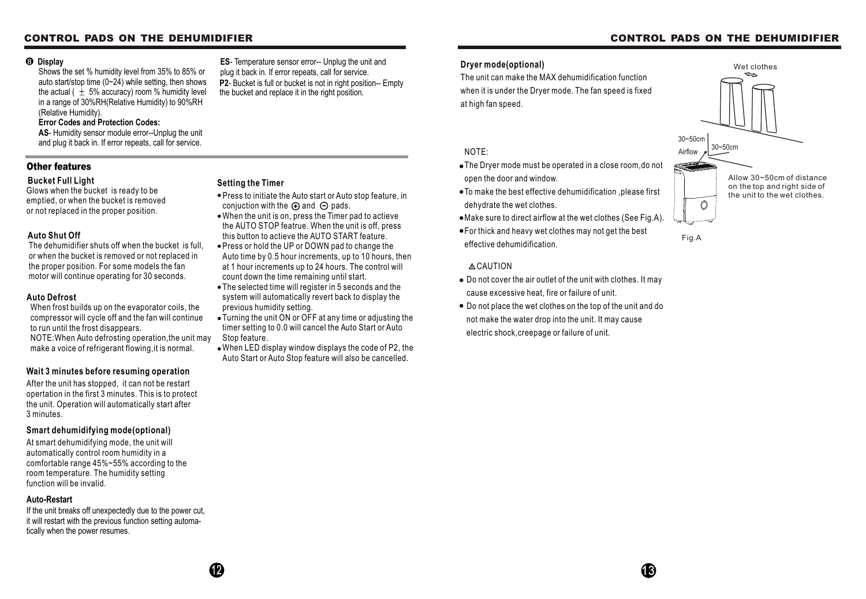#### **Dryer mode(optional)**

The unit can make the MAX dehumidification function when it is under the Dryer mode. The fan speed is fixed at high fan speed.

#### NOTE:

- The Dryer mode must be operated in a close room,do not open the door and window.
- To make the best effective dehumidification ,please first dehydrate the wet clothes.
- Make sure to direct airflow at the wet clothes (See Fig.A).
- For thick and heavy wet clothes may not get the best effective dehumidification.

#### **ACAUTION**

- Do not cover the air outlet of the unit with clothes. It may cause excessive heat, fire or failure of unit.
- Do not place the wet clothes on the top of the unit and do not make the water drop into the unit. It may cause electric shock,creepage or failure of unit.



#### **Other features**

#### **Bucket Full Light**

Glows when the bucket is ready to be emptied, or when the bucket is removed or not replaced in the proper position.

When frost builds up on the evaporator coils, the compressor will cycle off and the fan will continue to run until the frost disappears.

NOTE:When Auto defrosting operation,the unit may make a voice of refrigerant flowing,it is normal.

#### **Auto Defrost**

#### **Wait 3 minutes before resuming operation**

After the unit has stopped, it can not be restart opertation in the first 3 minutes. This is to protect the unit. Operation will automatically start after 3 minutes.

#### **Setting the Timer**

Shows the set % humidity level from 35% to 85% or auto start/stop time  $(0-24)$  while setting, then shows the actual ( $\pm$  5% accuracy) room % humidity level in a range of 30%RH(Relative Humidity) to 90%RH (Relative Humidity).

#### **Error Codes and Protection Codes:**

**AS**- Humidity sensor module error--Unplug the unit and plug it back in. If error repeats, call for service.

#### **Display 8**

#### **Auto Shut Off**

The dehumidifier shuts off when the bucket is full, or when the bucket is removed or not replaced in the proper position. For some models the fan motor will continue operating for 30 seconds.

#### **Auto-Restart**

If the unit breaks off unexpectedly due to the power cut, it will restart with the previous function setting automatically when the power resumes.

#### **Smart dehumidifying mode(optional)**

**P2**- Bucket is full or bucket is not in right position-- Empty the bucket and replace it in the right position. **ES**- Temperature sensor error-- Unplug the unit and plug it back in. If error repeats, call for service.

At smart dehumidifying mode, the unit will automatically control room humidity in a comfortable range 45%~55% according to the room temperature. The humidity setting function will be invalid.

- Press to initiate the Auto start or Auto stop feature, in conjuction with the  $\oplus$  and  $\ominus$  pads.
- When the unit is on, press the Timer pad to actieve the AUTO STOP featrue. When the unit is off, press this button to actieve the AUTO START feature.
- Press or hold the UP or DOWN pad to change the Auto time by 0.5 hour increments, up to 10 hours, then at 1 hour increments up to 24 hours. The control will count down the time remaining until start.
- The selected time will register in 5 seconds and the system will automatically revert back to display the previous humidity setting.
- Turning the unit ON or OFF at any time or adjusting the timer setting to 0.0 will cancel the Auto Start or Auto Stop feature.
- When LED display window displays the code of P2, the Auto Start or Auto Stop feature will also be cancelled.

#### **CONTROL PADS ON THE DEHUMIDIFIER**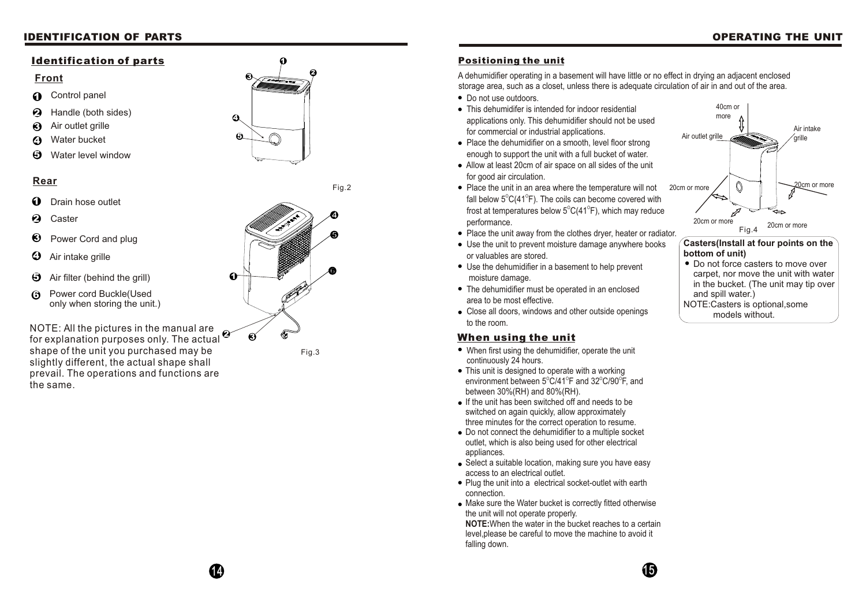1 4



- When first using the dehu midifier, operate the unit continuously 24 hours.
- This unit is designed to o p erate with a w orkin g environment between 5 $^{\circ}$ C/41 $^{\circ}$ F and 32 $^{\circ}$ C/90 $^{\circ}$ F, and between 30%(RH) and 80%(RH).
- If the unit has been switched off and needs to be switched on again quickly, allow approximately three minutes for the correct operation to resume.
- Do not connect the dehumidifier to a multiple sock et o utlet, w hic h is als o b ein g use d for oth er electrical a p plia nces.
- Select a suitable location, making sure you have easy access to an electric al o utlet.
- Plug the unit into a electrical socket-outlet with earth co n n ectio n.
- Make sure the Water bucket is correctly fitted otherwise the unit will not operate properly.

## **When using the unit**

**NOTE:**When the water in the bucket reaches to a certain level,please be careful to move the machine to avoid it falli n g d o w

#### **Positioning the unit**

operating in a basement will have little or no effect in drying an adjacent enclosed storage area, such as a closet, unless there is adequate circulation of air in and out of the area.

- Do not use outdoors.
- This dehumidifer is intended for indoor residential applications only. This dehumidifier should not be used for co m m ercial or in d ustri al a p plic atio ns.
- Place the dehumidifier on a smooth, level floor strong enough to support the unit with a full bucket of water.
- Allow at least 20cm of air space on all sides of the unit for good air circulation.
- A dehumidifier<br>storage area, s<br>
 Do not use o<br>
 This dehumicapplications<br>for commerc<br>
 Place the de<br>
enough to su<br>
 Allow at leas<br>
for good air of<br>
 Place the un<br>
fall below 5°<br>
frost at temp<br>
performance<br>
 Place th Place the unit in an area where the temperature will not fall below  $5^{\circ}C(41^{\circ}F)$ . The coils can become covered with frost at temperatures below  $5^{\circ}C(41^{\circ}F)$ , which may reduce p erform a nce.
- Place the unit away from the clothes dryer, heater or radiator.
- Use the unit to prevent moisture damage anywhere books or valu a bles are store d.
- Use the dehumidifier in a basement to help prevent m oisture d a m a g e.
- T h e d e h u midifi er m ust b e o p erate d in a n e ncl ose d are a t o b e m ost effectiv e.
- Close all doors, windows and other outside openings to the room.



#### **Front**

#### **Rear**

#### **Identification of parts**

Fig.2



- Control panel  $\Omega$
- $\boldsymbol{\Omega}$ Handle (both sides)
- **1234**ଈ Air outlet grille
- Water bucket  $\boldsymbol{\Omega}$
- Water level window **5**

- Drain hose outlet 0
- $\boldsymbol{\varOmega}$ Caster
- 123<br>123 ❸ Power Cord and plug
- $\boldsymbol{\Theta}$ Air intake grille
- Air filter (behind the grill) **5**
- Power cord Buckle(Used only when storing the unit.) **6**

NOTE: All th e pictures in th e manual ar e for explanatio n purposes only. The actual shape of th e unit yo u purchase d ma y be slightl y different, th e actual shape shall prevail. The operations an d function s ar e the same.





#### **IDENTIFICATION OF PARTS**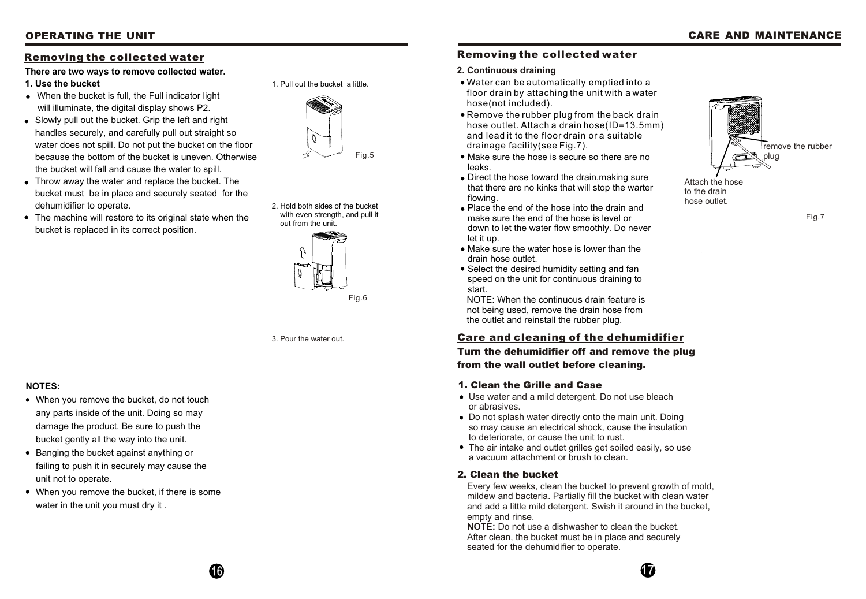#### **Removing the collected water**

Fig.7

Attach the hose to the drain hose outlet.



#### **2. Continuous draining**

NOTE: When the continuous drain feature is not being used, remove the drain hose from the outlet and reinstall the rubber plug.

- Water can be automatically emptied into a floor drain by attaching the unit with a water hose(not included).
- Remove the rubber plug from the back drain hose outlet. Attach a drain hose(ID=13.5mm) and lead it to the floor drain or a suitable drainage facility(see Fig.7).
- Make sure the hose is secure so there are no leaks.
- Direct the hose toward the drain, making sure that there are no kinks that will stop the warter flowing.
- Place the end of the hose into the drain and make sure the end of the hose is level or down to let the water flow smoothly. Do never let it up.
- Make sure the water hose is lower than the drain hose outlet.
- Select the desired humidity setting and fan speed on the unit for continuous draining to start.

## **Care and cleaning of the dehumidifier**

**Turn the dehumidifier off and remove the plug from the wall outlet before cleaning.**

#### **1. Clean the Grille and Case**

- Use water and a mild detergent. Do not use bleach or abrasives.
- Do not splash water directly onto the main unit. Doing so may cause an electrical shock, cause the insulation to deteriorate, or cause the unit to rust.
- The air intake and outlet grilles get soiled easily, so use a vacuum attachment or brush to clean.

#### **2. Clean the bucket**

Every few weeks, clean the bucket to prevent growth of mold, mildew and bacteria. Partially fill the bucket with clean water and add a little mild detergent. Swish it around in the bucket, empty and rinse.

**NOTE:** Do not use a dishwasher to clean the bucket. After clean, the bucket must be in place and securely seated for the dehumidifier to operate.



#### **Removing the collected water**

1. Pull out the bucket a little.

2. Hold both sides of the bucket with even strength, and pull it out from the unit.

3. Pour the water out.

#### **NOTES:**

- When you remove the bucket, do not touch any parts inside of the unit. Doing so may damage the product. Be sure to push the bucket gently all the way into the unit.
- Banging the bucket against anything or failing to push it in securely may cause the unit not to operate.
- When you remove the bucket, if there is some water in the unit you must dry it .





#### **There are two ways to remove collected water.**

- **1. Use the bucket**
- When the bucket is full, the Full indicator light will illuminate, the digital display shows P2.
- Slowly pull out the bucket. Grip the left and right handles securely, and carefully pull out straight so water does not spill. Do not put the bucket on the floor because the bottom of the bucket is uneven. Otherwise the bucket will fall and cause the water to spill.
- Throw away the water and replace the bucket. The bucket must be in place and securely seated for the dehumidifier to operate.
- The machine will restore to its original state when the bucket is replaced in its correct position.